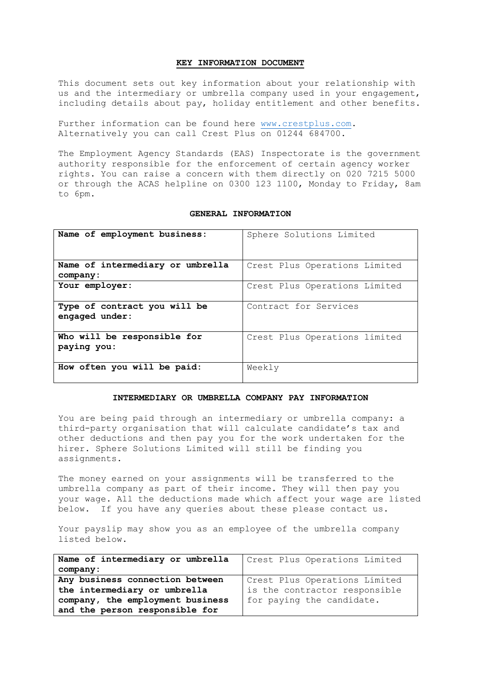## **KEY INFORMATION DOCUMENT**

This document sets out key information about your relationship with us and the intermediary or umbrella company used in your engagement, including details about pay, holiday entitlement and other benefits.

Further information can be found here [www.crestplus.com.](http://www.crestplus.com/) Alternatively you can call Crest Plus on 01244 684700.

The Employment Agency Standards (EAS) Inspectorate is the government authority responsible for the enforcement of certain agency worker rights. You can raise a concern with them directly on 020 7215 5000 or through the ACAS helpline on 0300 123 1100, Monday to Friday, 8am to 6pm.

## **GENERAL INFORMATION**

| Name of employment business:                   | Sphere Solutions Limited      |
|------------------------------------------------|-------------------------------|
| Name of intermediary or umbrella<br>company:   | Crest Plus Operations Limited |
| Your employer:                                 | Crest Plus Operations Limited |
| Type of contract you will be<br>engaged under: | Contract for Services         |
| Who will be responsible for<br>paying you:     | Crest Plus Operations limited |
| How often you will be paid:                    | Weekly                        |

## **INTERMEDIARY OR UMBRELLA COMPANY PAY INFORMATION**

You are being paid through an intermediary or umbrella company: a third-party organisation that will calculate candidate's tax and other deductions and then pay you for the work undertaken for the hirer. Sphere Solutions Limited will still be finding you assignments.

The money earned on your assignments will be transferred to the umbrella company as part of their income. They will then pay you your wage. All the deductions made which affect your wage are listed below. If you have any queries about these please contact us.

Your payslip may show you as an employee of the umbrella company listed below.

| Name of intermediary or umbrella | Crest Plus Operations Limited |
|----------------------------------|-------------------------------|
| company:                         |                               |
| Any business connection between  | Crest Plus Operations Limited |
| the intermediary or umbrella     | is the contractor responsible |
| company, the employment business | for paying the candidate.     |
| and the person responsible for   |                               |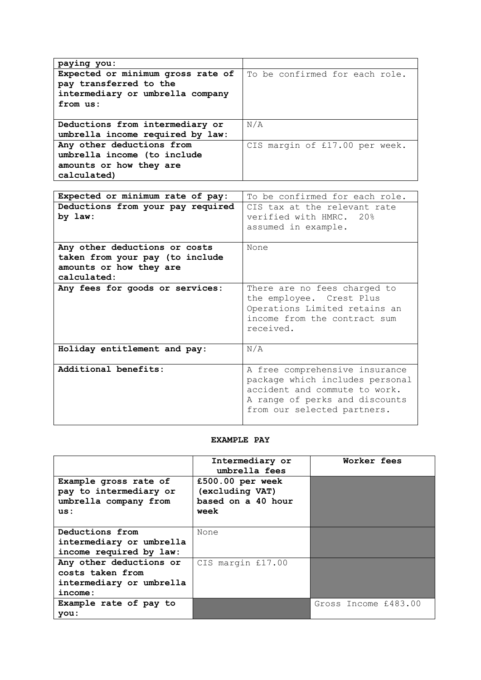| paying you:                       |                                |
|-----------------------------------|--------------------------------|
| Expected or minimum gross rate of | To be confirmed for each role. |
| pay transferred to the            |                                |
| intermediary or umbrella company  |                                |
| from us:                          |                                |
|                                   |                                |
| Deductions from intermediary or   | N/A                            |
| umbrella income required by law:  |                                |
| Any other deductions from         | CIS margin of £17.00 per week. |
| umbrella income (to include       |                                |
| amounts or how they are           |                                |
| calculated)                       |                                |

| Expected or minimum rate of pay:                                                                           | To be confirmed for each role.                                                                                                                                      |  |
|------------------------------------------------------------------------------------------------------------|---------------------------------------------------------------------------------------------------------------------------------------------------------------------|--|
| Deductions from your pay required<br>by law:                                                               | CIS tax at the relevant rate<br>verified with HMRC. 20%<br>assumed in example.                                                                                      |  |
| Any other deductions or costs<br>taken from your pay (to include<br>amounts or how they are<br>calculated: | None                                                                                                                                                                |  |
| Any fees for goods or services:                                                                            | There are no fees charged to<br>the employee. Crest Plus<br>Operations Limited retains an<br>income from the contract sum<br>received.                              |  |
| Holiday entitlement and pay:                                                                               | N/A                                                                                                                                                                 |  |
| Additional benefits:                                                                                       | A free comprehensive insurance<br>package which includes personal<br>accident and commute to work.<br>A range of perks and discounts<br>from our selected partners. |  |

## **EXAMPLE PAY**

|                                                                                 | Intermediary or<br>umbrella fees                                  | Worker fees          |
|---------------------------------------------------------------------------------|-------------------------------------------------------------------|----------------------|
| Example gross rate of<br>pay to intermediary or<br>umbrella company from<br>us: | £500.00 per week<br>(excluding VAT)<br>based on a 40 hour<br>week |                      |
| Deductions from                                                                 | None                                                              |                      |
| intermediary or umbrella                                                        |                                                                   |                      |
| income required by law:                                                         |                                                                   |                      |
| Any other deductions or                                                         | CIS margin £17.00                                                 |                      |
| costs taken from                                                                |                                                                   |                      |
| intermediary or umbrella                                                        |                                                                   |                      |
| income:                                                                         |                                                                   |                      |
| Example rate of pay to                                                          |                                                                   | Gross Income £483.00 |
| you:                                                                            |                                                                   |                      |